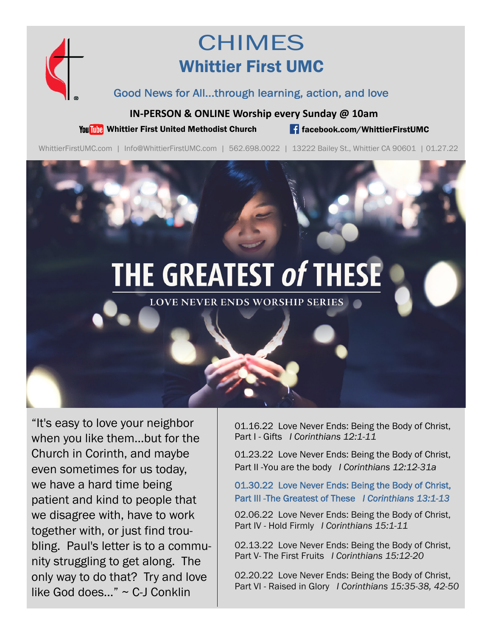

# CHIMES Whittier First UMC

Good News for All...through learning, action, and love

**IN‐PERSON & ONLINE Worship every Sunday @ 10am**

You This Whittier First United Methodist Church **for the facebook.com/WhittierFirstUMC** 

WhittierFirstUMC.com | Info@WhittierFirstUMC.com | 562.698.0022 | 13222 Bailey St., Whittier CA 90601 | 01.27.22

# THE GREATEST of THESE

LOVE NEVER ENDS WORSHIP SERIES

"It's easy to love your neighbor when you like them...but for the Church in Corinth, and maybe even sometimes for us today, we have a hard time being patient and kind to people that we disagree with, have to work together with, or just find troubling. Paul's letter is to a community struggling to get along. The only way to do that? Try and love like God does..." ~ C-J Conklin

01.16.22 Love Never Ends: Being the Body of Christ, Part I - Gifts *I Corinthians 12:1-11* 

01.23.22 Love Never Ends: Being the Body of Christ, Part II -You are the body *I Corinthians 12:12-31a* 

01.30.22 Love Never Ends: Being the Body of Christ, Part III -The Greatest of These *I Corinthians 13:1-13*

02.06.22 Love Never Ends: Being the Body of Christ, Part IV - Hold Firmly *I Corinthians 15:1-11* 

02.13.22 Love Never Ends: Being the Body of Christ, Part V- The First Fruits *I Corinthians 15:12-20* 

02.20.22 Love Never Ends: Being the Body of Christ, Part VI - Raised in Glory *I Corinthians 15:35-38, 42-50*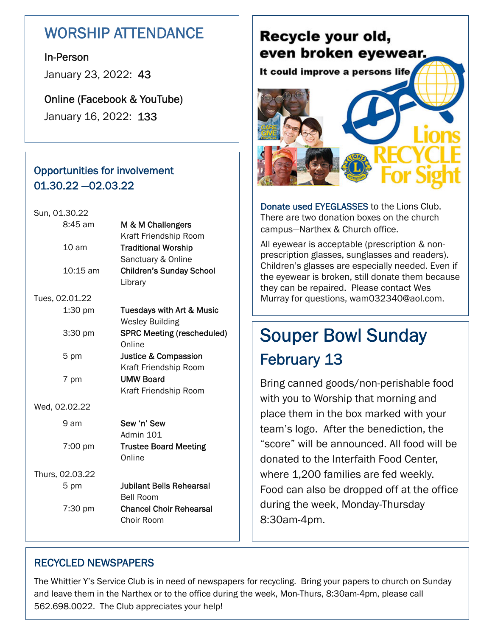# WORSHIP ATTENDANCE

#### In-Person

January 23, 2022: 43

Online (Facebook & YouTube) January 16, 2022: 133

# Opportunities for involvement 01.30.22 —02.03.22

|                | Sun, 01.30.22      |                                      |  |  |  |
|----------------|--------------------|--------------------------------------|--|--|--|
|                | 8:45 am            | M & M Challengers                    |  |  |  |
|                |                    | Kraft Friendship Room                |  |  |  |
|                | 10 am              | <b>Traditional Worship</b>           |  |  |  |
|                |                    | Sanctuary & Online                   |  |  |  |
|                | $10:15 \text{ am}$ | <b>Children's Sunday School</b>      |  |  |  |
|                |                    | Library                              |  |  |  |
| Tues, 02.01.22 |                    |                                      |  |  |  |
|                | $1:30$ pm          | <b>Tuesdays with Art &amp; Music</b> |  |  |  |
|                |                    | <b>Wesley Building</b>               |  |  |  |
|                | $3:30 \text{ pm}$  | <b>SPRC Meeting (rescheduled)</b>    |  |  |  |
|                |                    | Online                               |  |  |  |
|                | 5 pm               | <b>Justice &amp; Compassion</b>      |  |  |  |
|                |                    | Kraft Friendship Room                |  |  |  |
|                | 7 pm               | <b>UMW Board</b>                     |  |  |  |
|                |                    | Kraft Friendship Room                |  |  |  |
| Wed, 02.02.22  |                    |                                      |  |  |  |
|                | 9 am               | Sew 'n' Sew                          |  |  |  |
|                |                    | Admin 101                            |  |  |  |
|                | 7:00 pm            | <b>Trustee Board Meeting</b>         |  |  |  |
|                |                    | Online                               |  |  |  |
|                | Thurs, 02.03.22    |                                      |  |  |  |
|                | 5 pm               | <b>Jubilant Bells Rehearsal</b>      |  |  |  |
|                |                    | <b>Bell Room</b>                     |  |  |  |
|                | 7:30 pm            | <b>Chancel Choir Rehearsal</b>       |  |  |  |
|                |                    | Choir Room                           |  |  |  |
|                |                    |                                      |  |  |  |

# Recycle your old, even broken eyewear.

It could improve a persons life



Donate used EYEGLASSES to the Lions Club. There are two donation boxes on the church campus—Narthex & Church office.

All eyewear is acceptable (prescription & nonprescription glasses, sunglasses and readers). Children's glasses are especially needed. Even if the eyewear is broken, still donate them because they can be repaired. Please contact Wes Murray for questions, wam032340@aol.com.

# Souper Bowl Sunday February 13

Bring canned goods/non-perishable food with you to Worship that morning and place them in the box marked with your team's logo. After the benediction, the "score" will be announced. All food will be donated to the Interfaith Food Center, where 1,200 families are fed weekly. Food can also be dropped off at the office during the week, Monday-Thursday 8:30am-4pm.

# RECYCLED NEWSPAPERS

The Whittier Y's Service Club is in need of newspapers for recycling. Bring your papers to church on Sunday and leave them in the Narthex or to the office during the week, Mon-Thurs, 8:30am-4pm, please call 562.698.0022. The Club appreciates your help!